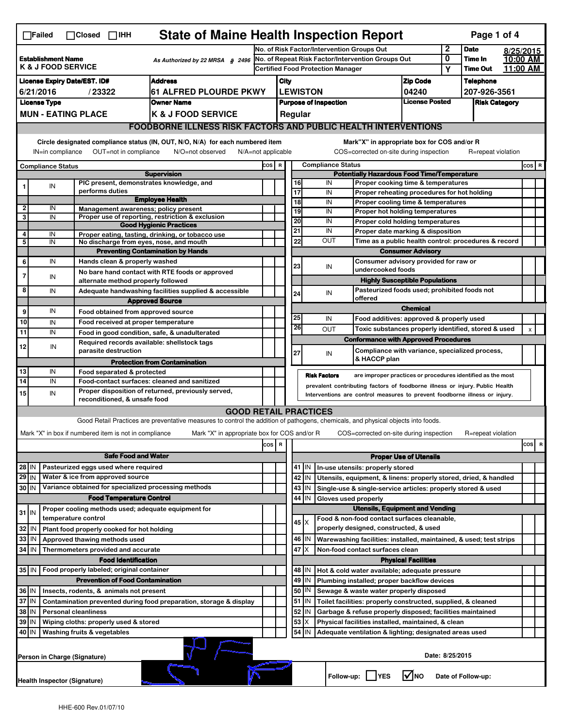|                                                                                                                                                          | <b>State of Maine Health Inspection Report</b><br>Page 1 of 4<br>$\Box$ Failed<br>$\Box$ Closed $\Box$ IHH                    |                     |                                                                                                        |                                                                                                                                                                   |       |                                                                  |                                                                                       |                                                                                                                  |                                                                        |                      |                                                                              |                          |                            |                    |                      |                                 |  |
|----------------------------------------------------------------------------------------------------------------------------------------------------------|-------------------------------------------------------------------------------------------------------------------------------|---------------------|--------------------------------------------------------------------------------------------------------|-------------------------------------------------------------------------------------------------------------------------------------------------------------------|-------|------------------------------------------------------------------|---------------------------------------------------------------------------------------|------------------------------------------------------------------------------------------------------------------|------------------------------------------------------------------------|----------------------|------------------------------------------------------------------------------|--------------------------|----------------------------|--------------------|----------------------|---------------------------------|--|
|                                                                                                                                                          |                                                                                                                               |                     |                                                                                                        |                                                                                                                                                                   |       | No. of Risk Factor/Intervention Groups Out                       |                                                                                       |                                                                                                                  |                                                                        |                      |                                                                              | 2                        | <b>Date</b>                |                    | 8/25/2015            |                                 |  |
| <b>Establishment Name</b><br>As Authorized by 22 MRSA § 2496<br><b>K &amp; J FOOD SERVICE</b>                                                            |                                                                                                                               |                     |                                                                                                        |                                                                                                                                                                   |       | No. of Repeat Risk Factor/Intervention Groups Out                |                                                                                       |                                                                                                                  |                                                                        |                      |                                                                              | 0                        | Time In<br><b>Time Out</b> |                    | 10:00 AM<br>11:00 AM |                                 |  |
|                                                                                                                                                          |                                                                                                                               |                     |                                                                                                        |                                                                                                                                                                   |       |                                                                  |                                                                                       | <b>Certified Food Protection Manager</b>                                                                         |                                                                        |                      |                                                                              |                          | Y                          |                    |                      |                                 |  |
|                                                                                                                                                          | <b>Address</b><br><b>License Expiry Date/EST. ID#</b><br>/23322<br><b>61 ALFRED PLOURDE PKWY</b><br>6/21/2016                 |                     |                                                                                                        |                                                                                                                                                                   |       |                                                                  | City<br><b>LEWISTON</b>                                                               |                                                                                                                  |                                                                        |                      | <b>Zip Code</b>                                                              |                          | <b>Telephone</b>           |                    |                      |                                 |  |
|                                                                                                                                                          |                                                                                                                               |                     |                                                                                                        |                                                                                                                                                                   |       |                                                                  |                                                                                       |                                                                                                                  |                                                                        |                      |                                                                              | 04240                    |                            | 207-926-3561       |                      |                                 |  |
| <b>License Type</b><br><b>Owner Name</b>                                                                                                                 |                                                                                                                               |                     |                                                                                                        |                                                                                                                                                                   |       | <b>License Posted</b><br><b>Purpose of Inspection</b><br>Regular |                                                                                       |                                                                                                                  |                                                                        | <b>Risk Category</b> |                                                                              |                          |                            |                    |                      |                                 |  |
|                                                                                                                                                          | <b>MUN - EATING PLACE</b><br><b>K &amp; J FOOD SERVICE</b>                                                                    |                     |                                                                                                        |                                                                                                                                                                   |       |                                                                  |                                                                                       |                                                                                                                  |                                                                        |                      |                                                                              |                          |                            |                    |                      |                                 |  |
|                                                                                                                                                          | <b>FOODBORNE ILLNESS RISK FACTORS AND PUBLIC HEALTH INTERVENTIONS</b>                                                         |                     |                                                                                                        |                                                                                                                                                                   |       |                                                                  |                                                                                       |                                                                                                                  |                                                                        |                      |                                                                              |                          |                            |                    |                      |                                 |  |
|                                                                                                                                                          | Circle designated compliance status (IN, OUT, N/O, N/A) for each numbered item<br>Mark"X" in appropriate box for COS and/or R |                     |                                                                                                        |                                                                                                                                                                   |       |                                                                  |                                                                                       |                                                                                                                  |                                                                        |                      |                                                                              |                          |                            |                    |                      |                                 |  |
| OUT=not in compliance<br>COS=corrected on-site during inspection<br>IN=in compliance<br>N/O=not observed<br>$N/A = not$ applicable<br>R=repeat violation |                                                                                                                               |                     |                                                                                                        |                                                                                                                                                                   |       |                                                                  |                                                                                       |                                                                                                                  |                                                                        |                      |                                                                              |                          |                            |                    |                      |                                 |  |
|                                                                                                                                                          | <b>Compliance Status</b><br><b>Supervision</b>                                                                                |                     |                                                                                                        |                                                                                                                                                                   |       |                                                                  |                                                                                       | COS R<br><b>Compliance Status</b><br><b>Potentially Hazardous Food Time/Temperature</b>                          |                                                                        |                      |                                                                              |                          |                            |                    |                      | $cos$ R                         |  |
|                                                                                                                                                          | IN                                                                                                                            |                     |                                                                                                        | PIC present, demonstrates knowledge, and                                                                                                                          |       |                                                                  |                                                                                       | 16                                                                                                               |                                                                        | IN                   | Proper cooking time & temperatures                                           |                          |                            |                    |                      |                                 |  |
|                                                                                                                                                          |                                                                                                                               |                     | performs duties                                                                                        |                                                                                                                                                                   |       |                                                                  |                                                                                       | 17                                                                                                               |                                                                        | IN                   | Proper reheating procedures for hot holding                                  |                          |                            |                    |                      |                                 |  |
| $\mathbf{2}$                                                                                                                                             | IN                                                                                                                            |                     |                                                                                                        | <b>Employee Health</b>                                                                                                                                            |       |                                                                  |                                                                                       | 18                                                                                                               |                                                                        | IN                   | Proper cooling time & temperatures                                           |                          |                            |                    |                      |                                 |  |
| 3                                                                                                                                                        | IN                                                                                                                            |                     |                                                                                                        | Management awareness; policy present<br>Proper use of reporting, restriction & exclusion                                                                          |       |                                                                  |                                                                                       | 19                                                                                                               |                                                                        | IN                   | Proper hot holding temperatures                                              |                          |                            |                    |                      |                                 |  |
|                                                                                                                                                          |                                                                                                                               |                     |                                                                                                        | <b>Good Hygienic Practices</b>                                                                                                                                    |       |                                                                  |                                                                                       | 20                                                                                                               |                                                                        | IN                   | Proper cold holding temperatures                                             |                          |                            |                    |                      |                                 |  |
| 4                                                                                                                                                        | IN                                                                                                                            |                     |                                                                                                        | Proper eating, tasting, drinking, or tobacco use                                                                                                                  |       |                                                                  |                                                                                       | 21                                                                                                               |                                                                        | IN<br><b>OUT</b>     | Proper date marking & disposition                                            |                          |                            |                    |                      |                                 |  |
| 5                                                                                                                                                        | IN                                                                                                                            |                     |                                                                                                        | No discharge from eyes, nose, and mouth                                                                                                                           |       |                                                                  |                                                                                       | 22                                                                                                               |                                                                        |                      | Time as a public health control: procedures & record                         |                          |                            |                    |                      |                                 |  |
|                                                                                                                                                          | IN                                                                                                                            |                     |                                                                                                        | <b>Preventing Contamination by Hands</b>                                                                                                                          |       |                                                                  |                                                                                       |                                                                                                                  |                                                                        |                      |                                                                              | <b>Consumer Advisory</b> |                            |                    |                      |                                 |  |
| 6                                                                                                                                                        |                                                                                                                               |                     | Hands clean & properly washed                                                                          | No bare hand contact with RTE foods or approved                                                                                                                   |       |                                                                  |                                                                                       | 23                                                                                                               |                                                                        | IN                   | Consumer advisory provided for raw or<br>undercooked foods                   |                          |                            |                    |                      |                                 |  |
|                                                                                                                                                          | IN                                                                                                                            |                     | alternate method properly followed                                                                     |                                                                                                                                                                   |       |                                                                  |                                                                                       |                                                                                                                  |                                                                        |                      | <b>Highly Susceptible Populations</b>                                        |                          |                            |                    |                      |                                 |  |
| 8                                                                                                                                                        | IN                                                                                                                            |                     |                                                                                                        |                                                                                                                                                                   |       |                                                                  |                                                                                       |                                                                                                                  |                                                                        |                      | Pasteurized foods used; prohibited foods not                                 |                          |                            |                    |                      |                                 |  |
|                                                                                                                                                          |                                                                                                                               |                     | Adequate handwashing facilities supplied & accessible<br>24<br>IN<br>offered<br><b>Approved Source</b> |                                                                                                                                                                   |       |                                                                  |                                                                                       |                                                                                                                  |                                                                        |                      |                                                                              |                          |                            |                    |                      |                                 |  |
| 9                                                                                                                                                        | IN                                                                                                                            |                     |                                                                                                        | Food obtained from approved source                                                                                                                                |       |                                                                  |                                                                                       |                                                                                                                  |                                                                        |                      |                                                                              | <b>Chemical</b>          |                            |                    |                      |                                 |  |
| 10                                                                                                                                                       | IN                                                                                                                            |                     |                                                                                                        | Food received at proper temperature                                                                                                                               |       |                                                                  |                                                                                       | 25                                                                                                               |                                                                        | IN                   | Food additives: approved & properly used                                     |                          |                            |                    |                      |                                 |  |
| 11                                                                                                                                                       | IN                                                                                                                            |                     |                                                                                                        | Food in good condition, safe, & unadulterated                                                                                                                     |       |                                                                  |                                                                                       | 26                                                                                                               |                                                                        | <b>OUT</b>           | Toxic substances properly identified, stored & used                          |                          |                            |                    |                      | $\pmb{\times}$                  |  |
|                                                                                                                                                          |                                                                                                                               |                     |                                                                                                        | Required records available: shellstock tags                                                                                                                       |       |                                                                  |                                                                                       |                                                                                                                  |                                                                        |                      | <b>Conformance with Approved Procedures</b>                                  |                          |                            |                    |                      |                                 |  |
| 12                                                                                                                                                       | IN                                                                                                                            |                     | parasite destruction                                                                                   |                                                                                                                                                                   |       |                                                                  |                                                                                       | 27                                                                                                               |                                                                        | IN                   | Compliance with variance, specialized process,                               |                          |                            |                    |                      |                                 |  |
|                                                                                                                                                          |                                                                                                                               |                     |                                                                                                        | <b>Protection from Contamination</b>                                                                                                                              |       |                                                                  |                                                                                       |                                                                                                                  |                                                                        |                      | & HACCP plan                                                                 |                          |                            |                    |                      |                                 |  |
| 13                                                                                                                                                       | IN                                                                                                                            |                     | Food separated & protected                                                                             |                                                                                                                                                                   |       |                                                                  |                                                                                       |                                                                                                                  | <b>Risk Factors</b>                                                    |                      | are improper practices or procedures identified as the most                  |                          |                            |                    |                      |                                 |  |
| 14                                                                                                                                                       | IN                                                                                                                            |                     |                                                                                                        | Food-contact surfaces: cleaned and sanitized                                                                                                                      |       |                                                                  |                                                                                       |                                                                                                                  |                                                                        |                      | prevalent contributing factors of foodborne illness or injury. Public Health |                          |                            |                    |                      |                                 |  |
| 15                                                                                                                                                       | IN                                                                                                                            |                     | reconditioned, & unsafe food                                                                           | Proper disposition of returned, previously served,                                                                                                                |       |                                                                  | Interventions are control measures to prevent foodborne illness or injury.            |                                                                                                                  |                                                                        |                      |                                                                              |                          |                            |                    |                      |                                 |  |
|                                                                                                                                                          |                                                                                                                               |                     |                                                                                                        |                                                                                                                                                                   |       |                                                                  |                                                                                       |                                                                                                                  |                                                                        |                      |                                                                              |                          |                            |                    |                      |                                 |  |
|                                                                                                                                                          |                                                                                                                               |                     |                                                                                                        | <b>GOOD RETAIL PRACTICES</b><br>Good Retail Practices are preventative measures to control the addition of pathogens, chemicals, and physical objects into foods. |       |                                                                  |                                                                                       |                                                                                                                  |                                                                        |                      |                                                                              |                          |                            |                    |                      |                                 |  |
|                                                                                                                                                          |                                                                                                                               |                     |                                                                                                        |                                                                                                                                                                   |       |                                                                  |                                                                                       |                                                                                                                  |                                                                        |                      |                                                                              |                          |                            |                    |                      |                                 |  |
|                                                                                                                                                          |                                                                                                                               |                     | Mark "X" in box if numbered item is not in compliance                                                  | Mark "X" in appropriate box for COS and/or R                                                                                                                      |       |                                                                  |                                                                                       |                                                                                                                  |                                                                        |                      | COS=corrected on-site during inspection                                      |                          |                            | R=repeat violation |                      |                                 |  |
|                                                                                                                                                          |                                                                                                                               |                     |                                                                                                        |                                                                                                                                                                   | COS R |                                                                  |                                                                                       |                                                                                                                  |                                                                        |                      |                                                                              |                          |                            |                    |                      | cosl<br>$\overline{\mathbf{R}}$ |  |
|                                                                                                                                                          |                                                                                                                               |                     | <b>Safe Food and Water</b>                                                                             |                                                                                                                                                                   |       |                                                                  | <b>Proper Use of Utensils</b>                                                         |                                                                                                                  |                                                                        |                      |                                                                              |                          |                            |                    |                      |                                 |  |
| $28$ IN                                                                                                                                                  |                                                                                                                               |                     | Pasteurized eggs used where required                                                                   |                                                                                                                                                                   |       |                                                                  |                                                                                       | 41   IN                                                                                                          |                                                                        |                      | In-use utensils: properly stored                                             |                          |                            |                    |                      |                                 |  |
| $29$ IN                                                                                                                                                  |                                                                                                                               |                     | Water & ice from approved source                                                                       |                                                                                                                                                                   |       |                                                                  |                                                                                       | 42                                                                                                               | Utensils, equipment, & linens: properly stored, dried, & handled<br>IN |                      |                                                                              |                          |                            |                    |                      |                                 |  |
| 30 IN                                                                                                                                                    |                                                                                                                               |                     |                                                                                                        | Variance obtained for specialized processing methods                                                                                                              |       |                                                                  |                                                                                       | 43                                                                                                               | IN                                                                     |                      | Single-use & single-service articles: properly stored & used                 |                          |                            |                    |                      |                                 |  |
|                                                                                                                                                          |                                                                                                                               |                     | <b>Food Temperature Control</b>                                                                        |                                                                                                                                                                   |       |                                                                  | 44<br>IN<br>Gloves used properly                                                      |                                                                                                                  |                                                                        |                      |                                                                              |                          |                            |                    |                      |                                 |  |
| $31$ IN                                                                                                                                                  |                                                                                                                               | temperature control |                                                                                                        | Proper cooling methods used; adequate equipment for                                                                                                               |       |                                                                  | <b>Utensils, Equipment and Vending</b><br>Food & non-food contact surfaces cleanable, |                                                                                                                  |                                                                        |                      |                                                                              |                          |                            |                    |                      |                                 |  |
| 32                                                                                                                                                       |                                                                                                                               |                     |                                                                                                        |                                                                                                                                                                   |       |                                                                  |                                                                                       | 45   X                                                                                                           |                                                                        |                      | properly designed, constructed, & used                                       |                          |                            |                    |                      |                                 |  |
| 33                                                                                                                                                       | IN<br>IN                                                                                                                      |                     | Plant food properly cooked for hot holding<br>Approved thawing methods used                            |                                                                                                                                                                   |       |                                                                  |                                                                                       | 46                                                                                                               | IN                                                                     |                      | Warewashing facilities: installed, maintained, & used; test strips           |                          |                            |                    |                      |                                 |  |
| 34 IN                                                                                                                                                    |                                                                                                                               |                     | Thermometers provided and accurate                                                                     |                                                                                                                                                                   |       |                                                                  |                                                                                       | 47                                                                                                               |                                                                        |                      |                                                                              |                          |                            |                    |                      |                                 |  |
|                                                                                                                                                          |                                                                                                                               |                     | <b>Food Identification</b>                                                                             |                                                                                                                                                                   |       |                                                                  | Non-food contact surfaces clean<br><b>Physical Facilities</b>                         |                                                                                                                  |                                                                        |                      |                                                                              |                          |                            |                    |                      |                                 |  |
| 35 IN                                                                                                                                                    |                                                                                                                               |                     | Food properly labeled; original container                                                              |                                                                                                                                                                   |       |                                                                  |                                                                                       | 48   IN                                                                                                          |                                                                        |                      | Hot & cold water available; adequate pressure                                |                          |                            |                    |                      |                                 |  |
|                                                                                                                                                          |                                                                                                                               |                     | <b>Prevention of Food Contamination</b>                                                                |                                                                                                                                                                   |       |                                                                  |                                                                                       | 49                                                                                                               | IN                                                                     |                      | Plumbing installed; proper backflow devices                                  |                          |                            |                    |                      |                                 |  |
|                                                                                                                                                          |                                                                                                                               |                     |                                                                                                        |                                                                                                                                                                   |       |                                                                  |                                                                                       | 50   IN                                                                                                          |                                                                        |                      |                                                                              |                          |                            |                    |                      |                                 |  |
| 36 IN<br>Insects, rodents, & animals not present<br>37 IN<br>Contamination prevented during food preparation, storage & display                          |                                                                                                                               |                     |                                                                                                        |                                                                                                                                                                   |       |                                                                  |                                                                                       | Sewage & waste water properly disposed<br>$51$ M<br>Toilet facilities: properly constructed, supplied, & cleaned |                                                                        |                      |                                                                              |                          |                            |                    |                      |                                 |  |
| 38 IN<br><b>Personal cleanliness</b>                                                                                                                     |                                                                                                                               |                     |                                                                                                        |                                                                                                                                                                   |       |                                                                  |                                                                                       | 52<br>IN<br>Garbage & refuse properly disposed; facilities maintained                                            |                                                                        |                      |                                                                              |                          |                            |                    |                      |                                 |  |
| 39 IN<br>Wiping cloths: properly used & stored                                                                                                           |                                                                                                                               |                     |                                                                                                        |                                                                                                                                                                   |       |                                                                  |                                                                                       | 53                                                                                                               | Physical facilities installed, maintained, & clean                     |                      |                                                                              |                          |                            |                    |                      |                                 |  |
| 54<br>40 IN<br>Washing fruits & vegetables<br>IN<br>Adequate ventilation & lighting; designated areas used                                               |                                                                                                                               |                     |                                                                                                        |                                                                                                                                                                   |       |                                                                  |                                                                                       |                                                                                                                  |                                                                        |                      |                                                                              |                          |                            |                    |                      |                                 |  |
|                                                                                                                                                          | Date: 8/25/2015<br>Person in Charge (Signature)                                                                               |                     |                                                                                                        |                                                                                                                                                                   |       |                                                                  |                                                                                       |                                                                                                                  |                                                                        |                      |                                                                              |                          |                            |                    |                      |                                 |  |
|                                                                                                                                                          | l√lno<br>Follow-up:     YES<br>Date of Follow-up:<br>Health Inspector (Signature)                                             |                     |                                                                                                        |                                                                                                                                                                   |       |                                                                  |                                                                                       |                                                                                                                  |                                                                        |                      |                                                                              |                          |                            |                    |                      |                                 |  |
|                                                                                                                                                          |                                                                                                                               |                     |                                                                                                        |                                                                                                                                                                   |       |                                                                  |                                                                                       |                                                                                                                  |                                                                        |                      |                                                                              |                          |                            |                    |                      |                                 |  |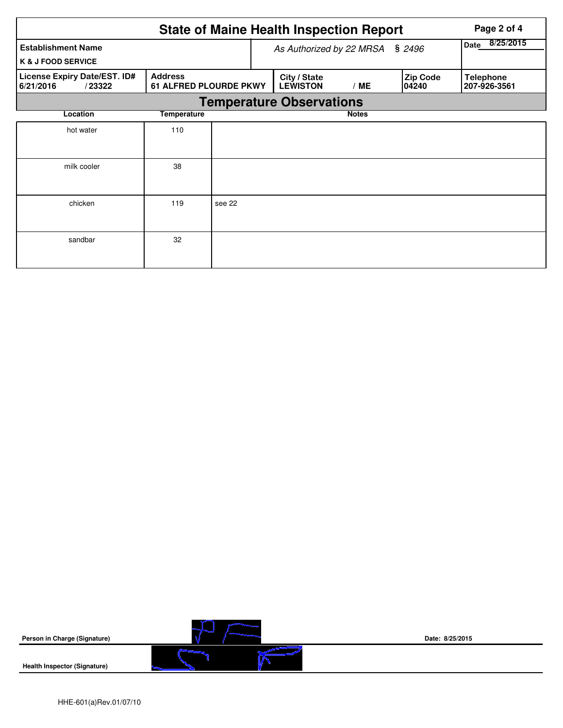|                                                            | Page 2 of 4                                     |        |                                 |                   |                          |                                  |  |  |  |  |
|------------------------------------------------------------|-------------------------------------------------|--------|---------------------------------|-------------------|--------------------------|----------------------------------|--|--|--|--|
| <b>Establishment Name</b><br><b>K &amp; J FOOD SERVICE</b> |                                                 |        | As Authorized by 22 MRSA        | 8/25/2015<br>Date |                          |                                  |  |  |  |  |
| License Expiry Date/EST. ID#<br>6/21/2016<br>/23322        | <b>Address</b><br><b>61 ALFRED PLOURDE PKWY</b> |        | City / State<br><b>LEWISTON</b> | /ME               | <b>Zip Code</b><br>04240 | <b>Telephone</b><br>207-926-3561 |  |  |  |  |
|                                                            | <b>Temperature Observations</b>                 |        |                                 |                   |                          |                                  |  |  |  |  |
| Location                                                   | Temperature                                     |        |                                 | <b>Notes</b>      |                          |                                  |  |  |  |  |
| hot water                                                  | 110                                             |        |                                 |                   |                          |                                  |  |  |  |  |
| milk cooler                                                | 38                                              |        |                                 |                   |                          |                                  |  |  |  |  |
| chicken                                                    | 119                                             | see 22 |                                 |                   |                          |                                  |  |  |  |  |
| sandbar                                                    | 32                                              |        |                                 |                   |                          |                                  |  |  |  |  |

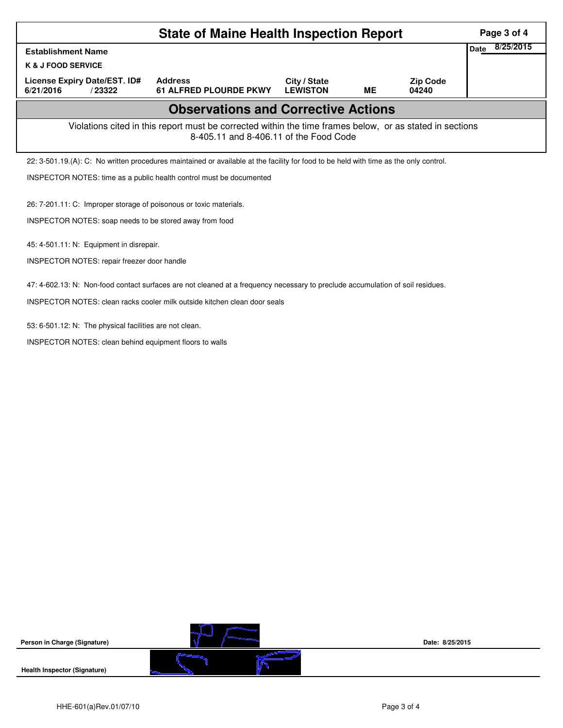| <b>State of Maine Health Inspection Report</b>                                                                                                     |        |                                                                                                                                       |                                 |           |                          |  |  |  |  |
|----------------------------------------------------------------------------------------------------------------------------------------------------|--------|---------------------------------------------------------------------------------------------------------------------------------------|---------------------------------|-----------|--------------------------|--|--|--|--|
| <b>Establishment Name</b>                                                                                                                          |        |                                                                                                                                       |                                 |           |                          |  |  |  |  |
| <b>K &amp; J FOOD SERVICE</b>                                                                                                                      |        |                                                                                                                                       |                                 |           |                          |  |  |  |  |
| License Expiry Date/EST. ID#<br>6/21/2016                                                                                                          | /23322 | <b>Address</b><br><b>61 ALFRED PLOURDE PKWY</b>                                                                                       | City / State<br><b>LEWISTON</b> | <b>ME</b> | <b>Zip Code</b><br>04240 |  |  |  |  |
| <b>Observations and Corrective Actions</b>                                                                                                         |        |                                                                                                                                       |                                 |           |                          |  |  |  |  |
| Violations cited in this report must be corrected within the time frames below, or as stated in sections<br>8-405.11 and 8-406.11 of the Food Code |        |                                                                                                                                       |                                 |           |                          |  |  |  |  |
|                                                                                                                                                    |        | 22: 3-501.19.(A): C: No written procedures maintained or available at the facility for food to be held with time as the only control. |                                 |           |                          |  |  |  |  |
|                                                                                                                                                    |        | INSPECTOR NOTES: time as a public health control must be documented                                                                   |                                 |           |                          |  |  |  |  |
| 26: 7-201.11: C: Improper storage of poisonous or toxic materials.<br>INSPECTOR NOTES: soap needs to be stored away from food                      |        |                                                                                                                                       |                                 |           |                          |  |  |  |  |
| 45: 4-501.11: N: Equipment in disrepair.                                                                                                           |        |                                                                                                                                       |                                 |           |                          |  |  |  |  |
| INSPECTOR NOTES: repair freezer door handle                                                                                                        |        |                                                                                                                                       |                                 |           |                          |  |  |  |  |
| 47: 4-602.13: N: Non-food contact surfaces are not cleaned at a frequency necessary to preclude accumulation of soil residues.                     |        |                                                                                                                                       |                                 |           |                          |  |  |  |  |
| INSPECTOR NOTES: clean racks cooler milk outside kitchen clean door seals                                                                          |        |                                                                                                                                       |                                 |           |                          |  |  |  |  |
| 53: 6-501.12: N: The physical facilities are not clean.                                                                                            |        | INSPECTOR NOTES: clean behind equipment floors to walls                                                                               |                                 |           |                          |  |  |  |  |